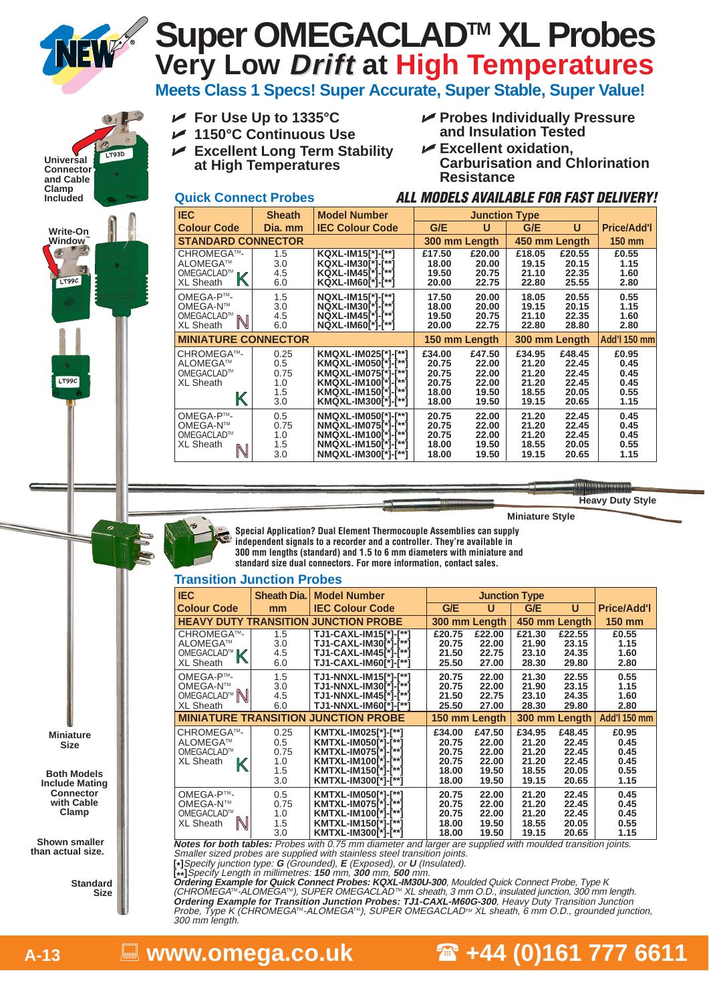

# **Very Low Drift at High Temperatures Super OMEGACLADTM XL Probes**

**Meets Class 1 Specs! Super Accurate, Super Stable, Super Value!**

LT93D **Universal Connector and Cable Clamp Included Write-On Window™** ÷ LT99C

LT99C

- **For Use Up to 1335°C**

**Quick Connect Probes**

- **1150°C Continuous Use**
- **►** Excellent Long Term Stability **at High Temperatures**
- **Probes Individually Pressure and Insulation Tested**

**ALL MODELS AVAILABLE FOR FAST DELIVERY!**

**► Excellent oxidation, Carburisation and Chlorination Resistance**

#### N  $\mathbb{K}$ K N **IEC Sheath Model Number Junction Type Colour Code Dia. mm IEC Colour Code G/E U G/E U Price/Add'l STANDARD CONNECTOR 300 mm Length 450 mm Length 150 mm** CHROMEGATM- 1.5 **KQXL-IM15[\*]-[\*\*] £17.50 £20.00 £18.05 £20.55 £0.55** ALOMEGATM 3.0 **KQXL-IM30[\*]-[\*\*] 18.00 20.00 19.15 20.15 1.15** OMEGACLAD™ <sub>IV</sub>∕ | 4.5 |KQXL-IM45[\*]-[\*\*] | 19.50 20.75 | 21.10 22.35 | 1.60 XL Sheath 6.0 **KQXL-IM60[\*]-[\*\*] 20.00 22.75 22.80 25.55 2.80** OMEGA-PTM- 1.5 **NQXL-IM15[\*]-[\*\*] 17.50 20.00 18.05 20.55 0.55** OMEGA-NTM 3.0 **NQXL-IM30[\*]-[\*\*] 18.00 20.00 19.15 20.15 1.15** OMEGACLAD™ <sub>IN I</sub> 4.5 **| NQXL-IM45[\*]-[\*\*] | 19.50 20.75 | 21.10 22.35 | 1.60** XL Sheath 6.0 **NQXL-IM60[\*]-[\*\*] 20.00 22.75 22.80 28.80 2.80 MINIATURE CONNECTOR 150 mm Length 300 mm Length Add'l 150 mm** CHROMEGATM- 0.25 **KMQXL-IM025[\*]-[\*\*] £34.00 £47.50 £34.95 £48.45 £0.95** ALOMEGATM 0.5 **KMQXL-IM050[\*]-[\*\*] 20.75 22.00 21.20 22.45 0.45** OMEGACLAD™ 0.75 **KMQXL-IM075[\*]-[\*\*] 20.75 22.00 21.20 22.45 0.45**<br>XL Sheath 1.0 **KMQXL-IM100<sup>[\*]</sup>-<sup>[\*\*]</sup> 20.75 22.00 21.20 22.45 0.45** XL Sheath 1.0 **KMQXL-IM100[\*]-[\*\*] 20.75 22.00 21.20 22.45 0.45** 1.5 **KMQXL-IM150[\*]-[\*\*] 18.00 19.50 18.55 20.05 0.55 KMOXL-IM300<sup>\*</sup>** OMEGA-PTM- 0.5 **NMQXL-IM050[\*]-[\*\*] 20.75 22.00 21.20 22.45 0.45** OMEGA-NTM 0.75 **NMQXL-IM075[\*]-[\*\*] 20.75 22.00 21.20 22.45 0.45** OMEGACLAD<sup>™</sup> 1.0 **NMQXL-IM100[\*]-[\*\*] 20.75 22.00 21.20 22.45 0.45**<br>XL Sheath <sub>N</sub> 1.5 **NMQXL-IM150[\*]-[\*\*] 18.00 19.50 18.55 20.05 0.55** XL Sheath 1.5 **NMQXL-IM150[\*]-[\*\*] 18.00 19.50 18.55 20.05 0.55** 3.0 **NMQXL-IM300[\*]-[\*\*] 18.00 19.50 19.15 20.65 1.15**



**Miniature Style**

**Special Application? Dual Element Thermocouple Assemblies can supply independent signals to a recorder and a controller. They're available in 300 mm lengths (standard) and 1.5 to 6 mm diameters with miniature and standard size dual connectors. For more information, contact sales.**

### **Transition Junction Probes**

| <b>IEC</b>                                                           | <b>Sheath Dia.</b>                       | <b>Model Number</b>                                                                                                                    |                                                                                                            | <b>Junction Type</b>                                                                                       |                                               |
|----------------------------------------------------------------------|------------------------------------------|----------------------------------------------------------------------------------------------------------------------------------------|------------------------------------------------------------------------------------------------------------|------------------------------------------------------------------------------------------------------------|-----------------------------------------------|
| <b>Colour Code</b>                                                   | mm                                       | <b>IEC Colour Code</b>                                                                                                                 | G/E<br>U                                                                                                   | G/E<br>U                                                                                                   | <b>Price/Add'l</b>                            |
| <b>HEAVY DUTY TRANSITION</b>                                         |                                          | <b>JUNCTION PROBE</b>                                                                                                                  | 300 mm Length                                                                                              | 450 mm Length                                                                                              | <b>150 mm</b>                                 |
| CHROMEGA™-<br>ALOMEGA™<br>OMEGACLAD <sup>™</sup><br><b>XL Sheath</b> | 1.5<br>3.0<br>4.5<br>6.0                 | TJ1-CAXL-IM15[*]-[**]<br>TJ1-CAXL-IM30[*]-[**]<br>TJ1-CAXL-IM45[*]-[**]<br>TJ1-CAXL-IM60[*]-[**]                                       | £20.75<br>£22.00<br>20.75<br>22.00<br>21.50<br>22.75<br>25.50<br>27.00                                     | £21.30<br>£22.55<br>23.15<br>21.90<br>23.10<br>24.35<br>28.30<br>29.80                                     | £0.55<br>1.15<br>1.60<br>2.80                 |
| OMEGA-P™-<br>OMEGA-N™<br>OMEGACLAD <sup>™</sup><br><b>XL Sheath</b>  | 1.5<br>3.0<br>4.5<br>6.0                 | TJ1-NNXL-IM15[*]-[**]<br>TJ1-NNXL-IM30[*]-[**]<br>TJ1-NNXL-IM45[*]-[**]<br>TJ1-NNXL-IM60[*]-[**]                                       | 22.00<br>20.75<br>20.75<br>22.00<br>21.50<br>22.75<br>25.50<br>27.00                                       | 21.30<br>22.55<br>21.90<br>23.15<br>24.35<br>23.10<br>28.30<br>29.80                                       | 0.55<br>1.15<br>1.60<br>2.80                  |
|                                                                      |                                          | <b>MINIATURE TRANSITION JUNCTION PROBE</b>                                                                                             | 150 mm Length                                                                                              | 300 mm Length                                                                                              | Add'l 150 mm                                  |
| CHROMEGA™-<br>ALOMEGA™<br>OMEGACLAD™<br><b>XL Sheath</b><br>K        | 0.25<br>0.5<br>0.75<br>1.0<br>1.5<br>3.0 | KMTXL-IM025[*]-[**]<br>KMTXL-IM050[*]-[**]<br>KMTXL-IM075[*]-[**]<br>KMTXL-IM100[*]-[**]<br>KMTXL-IM150[*]-[**]<br>KMTXL-IM300[*]-[**] | £47.50<br>£34.00<br>20.75<br>22.00<br>20.75<br>22.00<br>20.75<br>22.00<br>18.00<br>19.50<br>18.00<br>19.50 | £34.95<br>£48.45<br>21.20<br>22.45<br>21.20<br>22.45<br>21.20<br>22.45<br>18.55<br>20.05<br>19.15<br>20.65 | £0.95<br>0.45<br>0.45<br>0.45<br>0.55<br>1.15 |
| OMEGA-P™-<br>OMEGA-N™<br>OMEGACLAD™<br><b>XL Sheath</b><br>N         | 0.5<br>0.75<br>1.0<br>1.5<br>3.0         | KMTXL-IM050[*]-[**]<br>KMTXL-IM075[*]-[**]<br>KMTXL-IM100[*]-[**]<br>KMTXL-IM150[*]-[**]<br>KMTXL-IM300[*]-[**]                        | 20.75<br>22.00<br>20.75<br>22.00<br>20.75<br>22.00<br>18.00<br>19.50<br>18.00<br>19.50                     | 22.45<br>21.20<br>21.20<br>22.45<br>21.20<br>22.45<br>18.55<br>20.05<br>19.15<br>20.65                     | 0.45<br>0.45<br>0.45<br>0.55<br>1.15          |

**Notes for both tables:** Probes with 0.75 mm diameter and larger are supplied with moulded transition joints.

Smaller sized probes are supplied with stainless steel transition joints. **[\*]**Specify junction type: **<sup>G</sup>** (Grounded), **<sup>E</sup>** (Exposed), or **U** (Insulated).

**[\*\*]**Specify Length in millimetres: **150** mm, **300** mm, **500** mm.

**Standard Size** **Ordering Example for Quick Connect Probes: KQXL-IM30U-300**, Moulded Quick Connect Probe, Type K<br>(CHROMEGA™-ALOMEGA™), SUPER OMEGACLAD™ XL sheath, 3 mm O.D., insulated junction, 300 mm length **Ordering Example for Transition Junction Probes: TJ1-CAXL-M60G-300**, Heavy Duty Transition Junction Probe, Type K (CHROMEGATM-ALOMEGATM), SUPER OMEGACLADTM XL sheath, 6 mm O.D., grounded junction, 300 mm length.

**www.omega.co.uk +44 (0)161 777 6611** 

**A-13** -

**Both Models Include Mating Connector with Cable Clamp**

**Shown smaller than actual size.**

**Miniature Size**